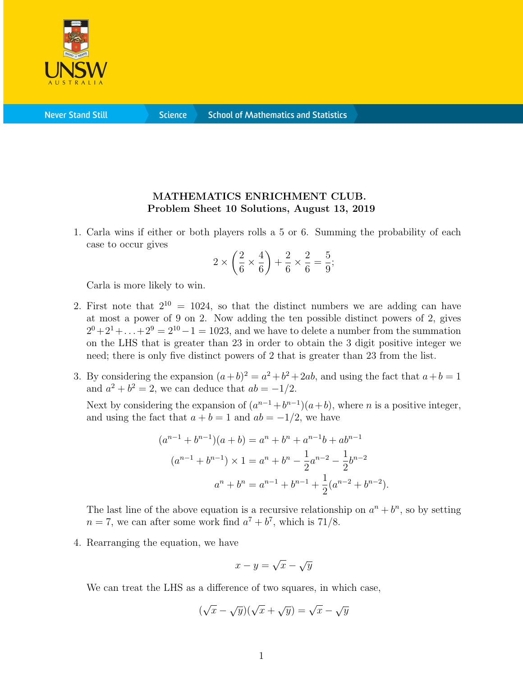

**Never Stand Still** 

**Science** 

## MATHEMATICS ENRICHMENT CLUB. Problem Sheet 10 Solutions, August 13, 2019

1. Carla wins if either or both players rolls a 5 or 6. Summing the probability of each case to occur gives

$$
2 \times \left(\frac{2}{6} \times \frac{4}{6}\right) + \frac{2}{6} \times \frac{2}{6} = \frac{5}{9};
$$

Carla is more likely to win.

- 2. First note that  $2^{10} = 1024$ , so that the distinct numbers we are adding can have at most a power of 9 on 2. Now adding the ten possible distinct powers of 2, gives  $2^{0}+2^{1}+\ldots+2^{9}=2^{10}-1=1023$ , and we have to delete a number from the summation on the LHS that is greater than 23 in order to obtain the 3 digit positive integer we need; there is only five distinct powers of 2 that is greater than 23 from the list.
- 3. By considering the expansion  $(a+b)^2 = a^2 + b^2 + 2ab$ , and using the fact that  $a+b=1$ and  $a^2 + b^2 = 2$ , we can deduce that  $ab = -1/2$ .

Next by considering the expansion of  $(a^{n-1}+b^{n-1})(a+b)$ , where *n* is a positive integer, and using the fact that  $a + b = 1$  and  $ab = -1/2$ , we have

$$
(a^{n-1} + b^{n-1})(a+b) = a^n + b^n + a^{n-1}b + ab^{n-1}
$$

$$
(a^{n-1} + b^{n-1}) \times 1 = a^n + b^n - \frac{1}{2}a^{n-2} - \frac{1}{2}b^{n-2}
$$

$$
a^n + b^n = a^{n-1} + b^{n-1} + \frac{1}{2}(a^{n-2} + b^{n-2}).
$$

The last line of the above equation is a recursive relationship on  $a^n + b^n$ , so by setting  $n = 7$ , we can after some work find  $a^7 + b^7$ , which is 71/8.

4. Rearranging the equation, we have

$$
x - y = \sqrt{x} - \sqrt{y}
$$

We can treat the LHS as a difference of two squares, in which case,

$$
(\sqrt{x} - \sqrt{y})(\sqrt{x} + \sqrt{y}) = \sqrt{x} - \sqrt{y}
$$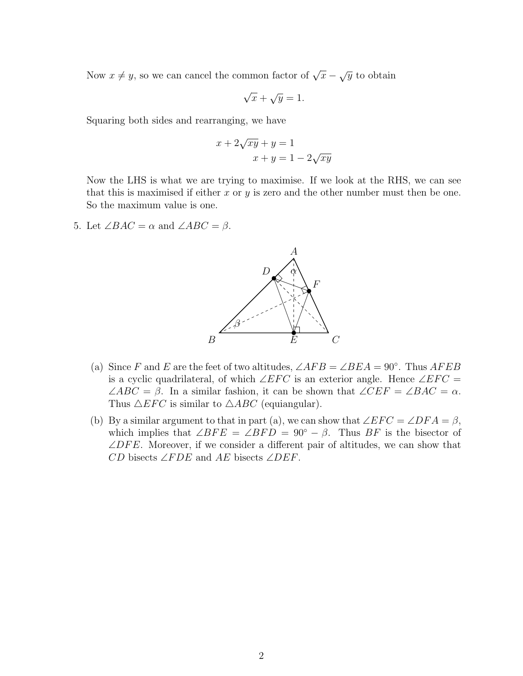Now  $x \neq y$ , so we can cancel the common factor of  $\sqrt{x} - \sqrt{y}$  to obtain

$$
\sqrt{x} + \sqrt{y} = 1.
$$

Squaring both sides and rearranging, we have

$$
x + 2\sqrt{xy} + y = 1
$$

$$
x + y = 1 - 2\sqrt{xy}
$$

Now the LHS is what we are trying to maximise. If we look at the RHS, we can see that this is maximised if either x or y is zero and the other number must then be one. So the maximum value is one.

5. Let  $\angle BAC = \alpha$  and  $\angle ABC = \beta$ .



- (a) Since F and E are the feet of two altitudes,  $\angle AFB = \angle BEA = 90^\circ$ . Thus  $AFEB$ is a cyclic quadrilateral, of which ∠EFC is an exterior angle. Hence ∠EFC =  $\angle ABC = \beta$ . In a similar fashion, it can be shown that  $\angle CEF = \angle BAC = \alpha$ . Thus  $\triangle EFC$  is similar to  $\triangle ABC$  (equiangular).
- (b) By a similar argument to that in part (a), we can show that  $\angle EFC = \angle DFA = \beta$ , which implies that  $\angle BFE = \angle BFD = 90^{\circ} - \beta$ . Thus BF is the bisector of  $\angle DFE$ . Moreover, if we consider a different pair of altitudes, we can show that  $CD$  bisects  $\angle FDE$  and  $AE$  bisects  $\angle DEF$ .